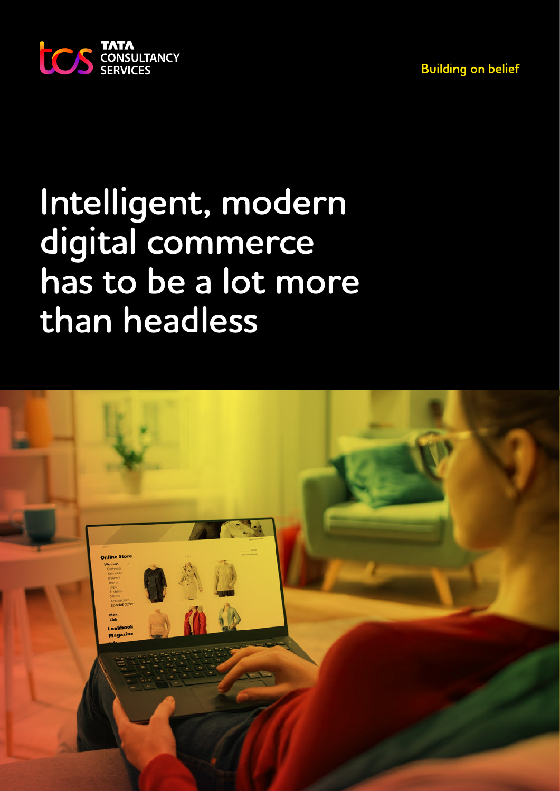**Building on belief** 



# **Intelligent, modern digital commerce has to be a lot more than headless**

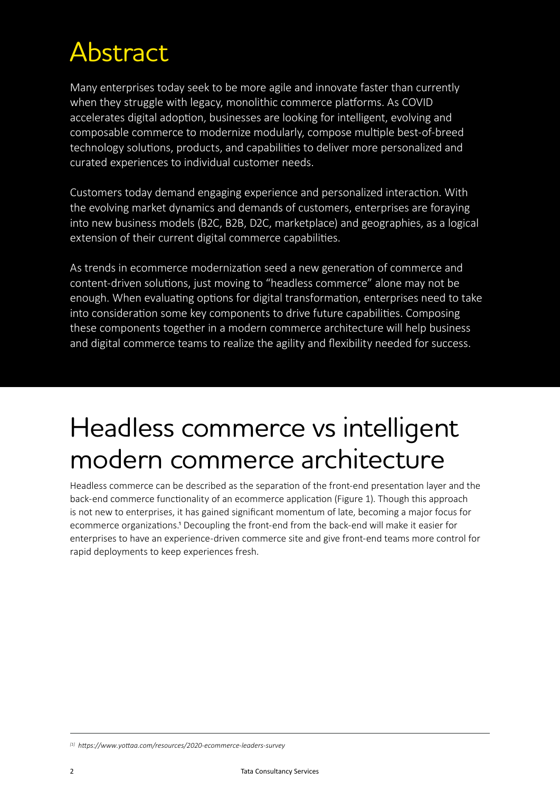### Abstract

Many enterprises today seek to be more agile and innovate faster than currently when they struggle with legacy, monolithic commerce platforms. As COVID accelerates digital adoption, businesses are looking for intelligent, evolving and composable commerce to modernize modularly, compose multiple best-of-breed technology solutions, products, and capabilities to deliver more personalized and curated experiences to individual customer needs.

Customers today demand engaging experience and personalized interaction. With the evolving market dynamics and demands of customers, enterprises are foraying into new business models (B2C, B2B, D2C, marketplace) and geographies, as a logical extension of their current digital commerce capabilities.

As trends in ecommerce modernization seed a new generation of commerce and content-driven solutions, just moving to "headless commerce" alone may not be enough. When evaluating options for digital transformation, enterprises need to take into consideration some key components to drive future capabilities. Composing these components together in a modern commerce architecture will help business and digital commerce teams to realize the agility and flexibility needed for success.

### Headless commerce vs intelligent modern commerce architecture

Headless commerce can be described as the separation of the front-end presentation layer and the back-end commerce functionality of an ecommerce application (Figure 1). Though this approach is not new to enterprises, it has gained significant momentum of late, becoming a major focus for ecommerce organizations.1 Decoupling the front-end from the back-end will make it easier for enterprises to have an experience-driven commerce site and give front-end teams more control for rapid deployments to keep experiences fresh.

*[1] https://www.yottaa.com/resources/2020-ecommerce-leaders-survey*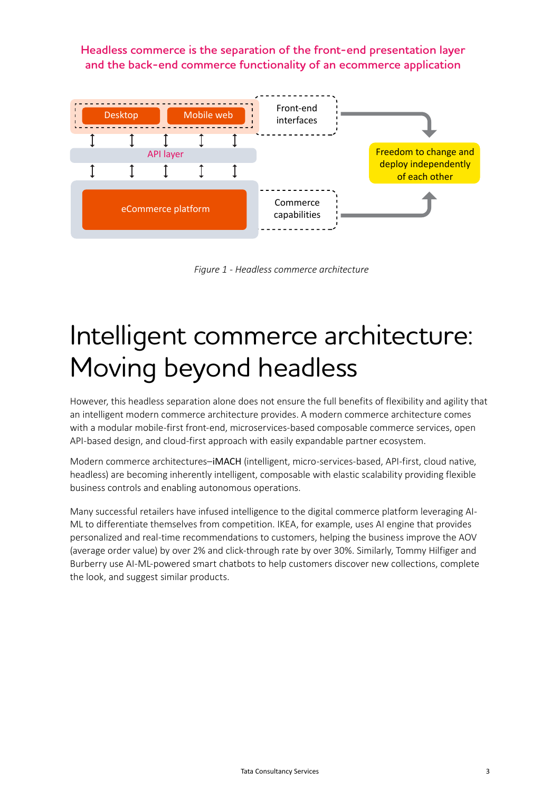**Headless commerce is the separation of the front-end presentation layer and the back-end commerce functionality of an ecommerce application**



*Figure 1 - Headless commerce architecture*

## Intelligent commerce architecture: Moving beyond headless

However, this headless separation alone does not ensure the full benefits of flexibility and agility that an intelligent modern commerce architecture provides. A modern commerce architecture comes with a modular mobile-first front-end, microservices-based composable commerce services, open API-based design, and cloud-first approach with easily expandable partner ecosystem.

Modern commerce architectures–iMACH (intelligent, micro-services-based, API-first, cloud native, headless) are becoming inherently intelligent, composable with elastic scalability providing flexible business controls and enabling autonomous operations.

Many successful retailers have infused intelligence to the digital commerce platform leveraging AI-ML to differentiate themselves from competition. IKEA, for example, uses AI engine that provides personalized and real-time recommendations to customers, helping the business improve the AOV (average order value) by over 2% and click-through rate by over 30%. Similarly, Tommy Hilfiger and Burberry use AI-ML-powered smart chatbots to help customers discover new collections, complete the look, and suggest similar products.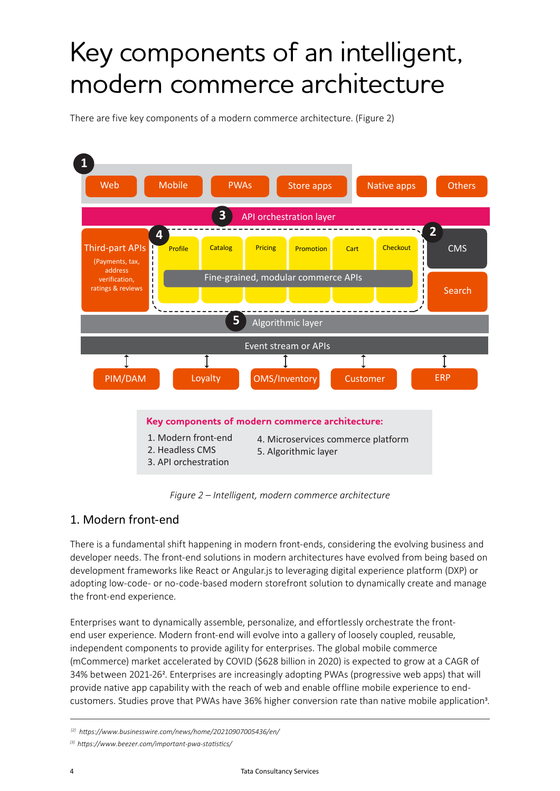## Key components of an intelligent, modern commerce architecture

There are five key components of a modern commerce architecture. (Figure 2)



*Figure 2 – Intelligent, modern commerce architecture*

### 1. Modern front-end

There is a fundamental shift happening in modern front-ends, considering the evolving business and developer needs. The front-end solutions in modern architectures have evolved from being based on development frameworks like React or Angular.js to leveraging digital experience platform (DXP) or adopting low-code- or no-code-based modern storefront solution to dynamically create and manage the front-end experience.

Enterprises want to dynamically assemble, personalize, and effortlessly orchestrate the frontend user experience. Modern front-end will evolve into a gallery of loosely coupled, reusable, independent components to provide agility for enterprises. The global mobile commerce (mCommerce) market accelerated by COVID (\$628 billion in 2020) is expected to grow at a CAGR of 34% between 2021-262. Enterprises are increasingly adopting PWAs (progressive web apps) that will provide native app capability with the reach of web and enable offline mobile experience to endcustomers. Studies prove that PWAs have 36% higher conversion rate than native mobile application3.

 *<sup>[2]</sup> https://www.businesswire.com/news/home/20210907005436/en/*

*<sup>[3]</sup> https://www.beezer.com/important-pwa-statistics/*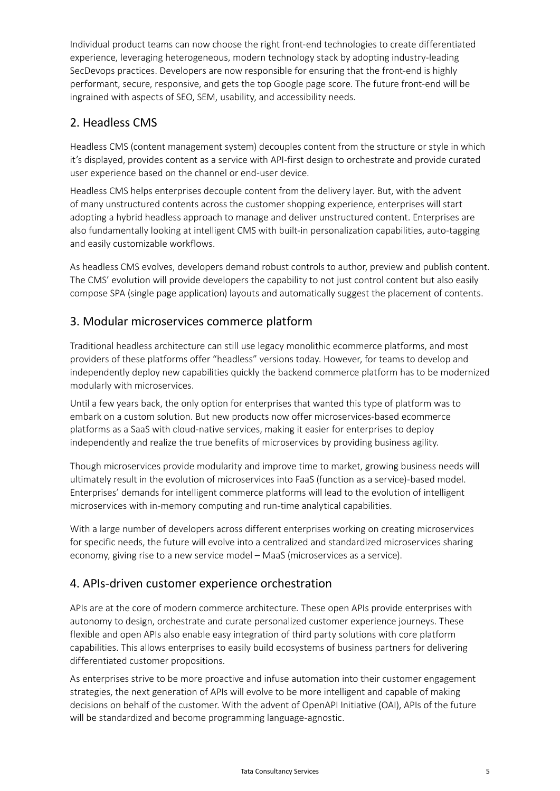Individual product teams can now choose the right front-end technologies to create differentiated experience, leveraging heterogeneous, modern technology stack by adopting industry-leading SecDevops practices. Developers are now responsible for ensuring that the front-end is highly performant, secure, responsive, and gets the top Google page score. The future front-end will be ingrained with aspects of SEO, SEM, usability, and accessibility needs.

### 2. Headless CMS

Headless CMS (content management system) decouples content from the structure or style in which it's displayed, provides content as a service with API-first design to orchestrate and provide curated user experience based on the channel or end-user device.

Headless CMS helps enterprises decouple content from the delivery layer. But, with the advent of many unstructured contents across the customer shopping experience, enterprises will start adopting a hybrid headless approach to manage and deliver unstructured content. Enterprises are also fundamentally looking at intelligent CMS with built-in personalization capabilities, auto-tagging and easily customizable workflows.

As headless CMS evolves, developers demand robust controls to author, preview and publish content. The CMS' evolution will provide developers the capability to not just control content but also easily compose SPA (single page application) layouts and automatically suggest the placement of contents.

### 3. Modular microservices commerce platform

Traditional headless architecture can still use legacy monolithic ecommerce platforms, and most providers of these platforms offer "headless" versions today. However, for teams to develop and independently deploy new capabilities quickly the backend commerce platform has to be modernized modularly with microservices.

Until a few years back, the only option for enterprises that wanted this type of platform was to embark on a custom solution. But new products now offer microservices-based ecommerce platforms as a SaaS with cloud-native services, making it easier for enterprises to deploy independently and realize the true benefits of microservices by providing business agility.

Though microservices provide modularity and improve time to market, growing business needs will ultimately result in the evolution of microservices into FaaS (function as a service)-based model. Enterprises' demands for intelligent commerce platforms will lead to the evolution of intelligent microservices with in-memory computing and run-time analytical capabilities.

With a large number of developers across different enterprises working on creating microservices for specific needs, the future will evolve into a centralized and standardized microservices sharing economy, giving rise to a new service model – MaaS (microservices as a service).

#### 4. APIs-driven customer experience orchestration

APIs are at the core of modern commerce architecture. These open APIs provide enterprises with autonomy to design, orchestrate and curate personalized customer experience journeys. These flexible and open APIs also enable easy integration of third party solutions with core platform capabilities. This allows enterprises to easily build ecosystems of business partners for delivering differentiated customer propositions.

As enterprises strive to be more proactive and infuse automation into their customer engagement strategies, the next generation of APIs will evolve to be more intelligent and capable of making decisions on behalf of the customer. With the advent of OpenAPI Initiative (OAI), APIs of the future will be standardized and become programming language-agnostic.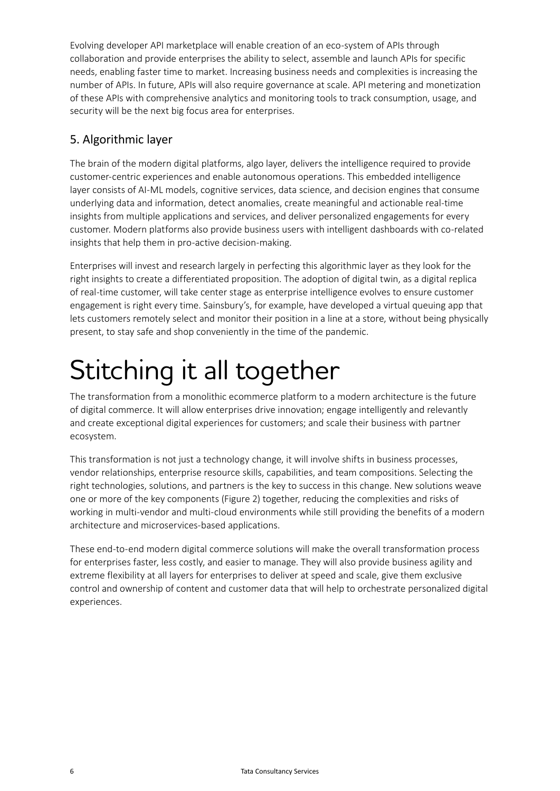Evolving developer API marketplace will enable creation of an eco-system of APIs through collaboration and provide enterprises the ability to select, assemble and launch APIs for specific needs, enabling faster time to market. Increasing business needs and complexities is increasing the number of APIs. In future, APIs will also require governance at scale. API metering and monetization of these APIs with comprehensive analytics and monitoring tools to track consumption, usage, and security will be the next big focus area for enterprises.

### 5. Algorithmic layer

The brain of the modern digital platforms, algo layer, delivers the intelligence required to provide customer-centric experiences and enable autonomous operations. This embedded intelligence layer consists of AI-ML models, cognitive services, data science, and decision engines that consume underlying data and information, detect anomalies, create meaningful and actionable real-time insights from multiple applications and services, and deliver personalized engagements for every customer. Modern platforms also provide business users with intelligent dashboards with co-related insights that help them in pro-active decision-making.

Enterprises will invest and research largely in perfecting this algorithmic layer as they look for the right insights to create a differentiated proposition. The adoption of digital twin, as a digital replica of real-time customer, will take center stage as enterprise intelligence evolves to ensure customer engagement is right every time. Sainsbury's, for example, have developed a virtual queuing app that lets customers remotely select and monitor their position in a line at a store, without being physically present, to stay safe and shop conveniently in the time of the pandemic.

# Stitching it all together

The transformation from a monolithic ecommerce platform to a modern architecture is the future of digital commerce. It will allow enterprises drive innovation; engage intelligently and relevantly and create exceptional digital experiences for customers; and scale their business with partner ecosystem.

This transformation is not just a technology change, it will involve shifts in business processes, vendor relationships, enterprise resource skills, capabilities, and team compositions. Selecting the right technologies, solutions, and partners is the key to success in this change. New solutions weave one or more of the key components (Figure 2) together, reducing the complexities and risks of working in multi-vendor and multi-cloud environments while still providing the benefits of a modern architecture and microservices-based applications.

These end-to-end modern digital commerce solutions will make the overall transformation process for enterprises faster, less costly, and easier to manage. They will also provide business agility and extreme flexibility at all layers for enterprises to deliver at speed and scale, give them exclusive control and ownership of content and customer data that will help to orchestrate personalized digital experiences.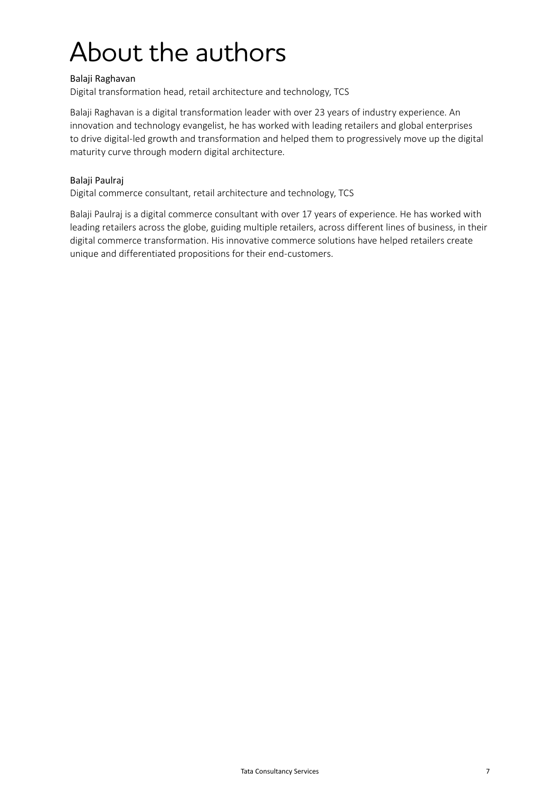## About the authors

#### Balaji Raghavan

Digital transformation head, retail architecture and technology, TCS

Balaji Raghavan is a digital transformation leader with over 23 years of industry experience. An innovation and technology evangelist, he has worked with leading retailers and global enterprises to drive digital-led growth and transformation and helped them to progressively move up the digital maturity curve through modern digital architecture.

#### Balaji Paulraj

Digital commerce consultant, retail architecture and technology, TCS

Balaji Paulraj is a digital commerce consultant with over 17 years of experience. He has worked with leading retailers across the globe, guiding multiple retailers, across different lines of business, in their digital commerce transformation. His innovative commerce solutions have helped retailers create unique and differentiated propositions for their end-customers.